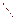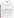## **THE ENVIRONMENTAL TECHNOLOGY VERIFICATION**







# **ETV Joint Verification Statement**

|                                                      | <b>TECHNOLOGY TYPE: Continuous Ambient Particulate Carbon Monitor</b>           |                                             |
|------------------------------------------------------|---------------------------------------------------------------------------------|---------------------------------------------|
| <b>APPLICATION:</b>                                  | <b>MEASURING PARTICULATE CARBON</b><br><b>CONCENTRATIONS IN AMBIENT AIR</b>     |                                             |
| <b>TECHNOLOGY</b><br><b>NAME:</b><br><b>COMPANY:</b> | Aethalometer <sup>™</sup> Particulate Carbon Monitor                            |                                             |
| <b>ADDRESS:</b>                                      | <b>Magee Scientifict</b><br><b>2800 Adeline Street</b>                          | PHONE: 510-845-2803<br>510-845-7137<br>FAX: |
| <b>WEB SITE:</b><br>$E\text{-}MAIL:$                 | Berkeley, CA 94703<br>www.mageescientific.com<br>Tim.Morphy@mageescientific.com |                                             |

The U.S. Environmental Protection Agency (EPA) has created the Environmental Technology Verification (ETV) Program to facilitate the deployment of innovative or improved environmental technologies through performance verification and dissemination of information. The goal of the ETV Program is to further environmental protection by substantially accelerating the acceptance and use of improved and cost-effective technologies. ETV seeks to achieve this goal by providing high-quality, peer-reviewed data on technology performance to those involved in the design, distribution, financing, permitting, purchase, and use of environmental technologies.

ETV works in partnership with recognized standards and testing organizations; with stakeholder groups that consist of buyers, vendor organizations, and permitters; and with the full participation of individual technology developers. The program evaluates the performance of innovative technologies by developing test plans that are responsive to the needs of stakeholders, conducting field or laboratory tests (as appropriate), collecting and analyzing data, and preparing peer-reviewed reports. All evaluations are conducted in accordance with rigorous quality assurance protocols to ensure that data of known and adequate quality are generated and that the results are defensible.

The Advanced Monitoring Systems (AMS) Center, one of six technology centers under ETV, is operated by Battelle in cooperation with EPA's National Exposure Research Laboratory. The AMS Center has recently evaluated the performance of continuous monitors used to measure fine particulate mass and species in ambient air. This verification statement provides a summary of the test results for the Magee Scientific Aethalometer™ particulate carbon monitor.

------------

† Thermo Anderson was distributing the Aethalometer™ technology for Magee Scientific at the time of verification. The company name cpf "eqpwev'lphqto cvkqp" was revised on October 30, 2009 to reflect that Magee Scientific has since taken back distribution.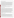#### **VERIFICATION TEST DESCRIPTION**

The objective of this verification test is to provide quantitative performance data on continuous fine particle monitors under a range of realistic operating conditions. To meet this objective, field testing was conducted in two phases in geographically distinct regions of the United States during different seasons of the year. The first phase of field testing was conducted at the ambient air monitoring station on the Department of Energy's National Energy Technology Laboratory campus in Pittsburgh, PA, from August 1 to September 1, 2000. The second phase of testing was performed at the California Air Resources Board's ambient air monitoring station in Fresno, CA, from December 18, 2000, to January 17, 2001. Specific performance characteristics verified in this test include inter-unit precision, agreement with and correlation to time-integrated reference methods, effect of meteorological conditions, and influence of precursor gases. The Aethalometer™ reports measurement results in terms of particulate black carbon (BC) concentration and, therefore, was compared with the elemental carbon (EC) results of thermal/optical analysis of collected particulate mass samples. Ambient aerosol carbon levels differed markedly in the two phases of testing, with elemental carbon averages of 1.3  $\mu$ g/m<sup>3</sup> in Phase I, and 6.1  $\mu$ g/m<sup>3</sup> in Phase II. Additionally, comparisons with a variety of supplemental measurements were made to establish specific performance characteristics.

Quality assurance (QA) oversight of verification testing was provided by Battelle and EPA. Battelle QA staff conducted a data quality audit of 10% of the test data, and an internal technical systems audit for Phase I and Phase II. EPA QA staff conducted an external technical systems audit during Phase II.

### **TECHNOLOGY DESCRIPTION**

The Aethalometer™ uses a continuous filtration and optical transmission technique to measure the concentration of aerosol black carbon in near real time. The Aethalometer™ is fully automatic and completely self-contained. It is constructed in a standard 19-inch enclosed chassis and includes a filtration and analysis chamber with automatically-advancing quartz fiber tape, sample aspiration pump and air mass flow meter or controller, and temperature-stabilized optics and electronics. The Aethalometer<sup>TM</sup> is operated by an embedded computer with display screen and keypad that controls all instrument functions and records the data to a built-in 3.5 in. floppy disk. The Aethalometer™ measures, at regular intervals, the attenuation of a beam of light transmitted through a filter while the filter is continuously collecting an aerosol sample. The carbon black content of the aerosol deposit is determined at each measurement time by using the appropriate attenuation value for the particular combination of filter and optical components. For this test the Aethalometer™ results are based on the "Harvard" EC calibration factor. The increase in optical attenuation from one period to the next is due to the increment of aerosol black carbon collected from the air stream during the period. This increment is divided by the volume of air sampled during that time to calculate the mean carbon black concentration in the sampled air. The Aethalometer<sup>™</sup> power consumption is approximately 60 W at either 115 or 230 V AC. Its weight is approximately 35 pounds and its rack width is 19 in. It is 11 in. high and 12 in. deep. During this verification test the 7-wavelength version of the Aethalometer™ was tested; however, only the results from the 880 nm channel are presented.

#### **VERIFICATION OF PERFORMANCE**

**Inter-Unit Precision:** During Phase I, regression analysis showed r<sup>2</sup> values of 0.932 and 0.982, respectively, for the 5-minute data and 24-hour averages for the duplicate monitors. The slopes of the regression lines (with Monitor 1 as the independent variable), were 0.914 (0.005) and 0.963 (0.049), respectively, for the 5-minute data and 24-hour averages (where the numbers in parentheses are 95% confidence intervals). The slope of the 5-minute data was statistically different from unity, and the slope of the 24-hour averages was not. For the 5-minute data, an intercept of 0.051 (0.007)  $\mu$ g/m<sup>3</sup> was observed and for the 24-hour data an intercept of -0.003 (0.058). The calculated CV for the 5-minute data was 17.8%; and, for the 24-hour averages, the CV was 4.2%. During Phase II, regression analysis showed r<sup>2</sup> values of 0.947 and 0.995, respectively, for the 5-minute and 24hour average data. The slopes of the regression lines were 0.999 (0.007) and 1.004 (0.027), respectively, for the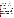5-minute data and 24-hour averages. In both cases, the slopes were not statistically different from unity at the 95% confidence level. A statistically significant intercept of 0.055 (0.038)  $\mu$ g/m<sup>3</sup> was observed for the 5-minute data; and an intercept of -0.052 (0.175)  $\mu$ g/m<sup>3</sup> was observed for the 24-hour averages. The calculated CV for the 5-minute data was 12.3%; and, for the 24-hour averages, the CV was 2.7%.

**Comparability/Predictability:** During Phase I, comparisons of the 24-hour averages with IMPROVE TOR reference results for EC showed intercepts indistinguishable from zero at 95% confidence and slopes of the regression lines of 0.815 (0.280) and 0.791 (0.270), respectively, for Monitor 1 and Monitor 2. The regression results show  $r^2$  values of 0.590 and 0.593 for Monitor 1 and Monitor 2, respectively. During Phase II, comparison of the appropriately averaged data from the Aethalometers™ with reference EC results from all of the sampling periods showed slopes of the regression lines for Monitor 1 and Monitor 2 of 0.711 (0.031) and 0.735 (0.031) and intercepts of 0.54 (0.25)  $\mu$ g/m<sup>3</sup> and 0.47 (0.25)  $\mu$ g/m<sup>3</sup>, respectively, indicating a bias between the Aethalometer<sup>TM</sup> monitors and the IMPROVE TOR results for EC. The regression results show  $r^2$  values of 0.930 and 0.934 for Monitor 1 and Monitor 2, respectively. Correlation of the BC and refrence EC results was best for samples from the 000-0500 time period, and lowest for time periods between 1000-1300 for Monitor 1 and from 1300-1600 for Monitor 2.

**Meteorological Effects:** Multivariable model analysis was used to establish if meteorological conditions influenced the readings of the duplicate Aethalometers<sup>™</sup> relative to the reference EC measurements during Phase I. This model ascribed to wind speed and air temperature a statistical effect on one of the Aethalometers™, and to wind direction a statistical effect on the other. For one monitor, the multivariable results differed from the linear regression results by approximately 2.5% on average. For the other monitor, a difference of approximately 60% was seen. During Phase II, this analysis ascribed to wind speed, wind direction, the standard deviation of wind direction, relative humidity, solar radiation, and barometric pressure an influence on the two Aethalometers™ relative to the reference results at the 90% confidence level. The multivariable results differed from the linear regression results by 14% for Monitor 1; for Monitor 2, the difference was negligible.

**Influence of Precursor Gases:** Multivariable analysis also was performed during Phase I to determine whether the presence of precursor gases had an effect on the Aethalometer™ readings. This analysis ascribed to both nitric oxide and nitrogen oxides a statistically significant (90% confidence) effect on the readings of both Aethalometers<sup>™</sup> relative to the EC reference measurements. The effects of these gases were similar in magnitude and opposing in nature; the multivariable results were the same as the linear regression results for both monitors. Multivariable analysis also was performed during Phase II to determine whether the presence of precursor gases had an effect on the Aethalometer™ readings. As with the results from Phase I, this analysis ascribed to both nitric oxide and nitrogen oxides a statistically significant (90% confidence) effect on the readings of both Aethalometers™ relative to the EC reference measurements. The effects of these gases were similar in magnitude and opposing in nature. The multivariable and linear regression results in Phase II differed by 8.2% for Monitor 1 and 4.0% for Monitor 2.

**Other Parameters:** The Aethalometers™ ran almost unattended for the duration of each phase. Data disks were replaced in each instrument weekly to capture the data, but no maintenance on either Aethalometer™was required during either phase. Data capture during Phase I was near 100%. During Phase II, the high  $PM_{2.5}$  concentrations resulted in the need to advance the filter tape on a frequent basis. As such, the data capture was approximately 75% during this phase of testing.